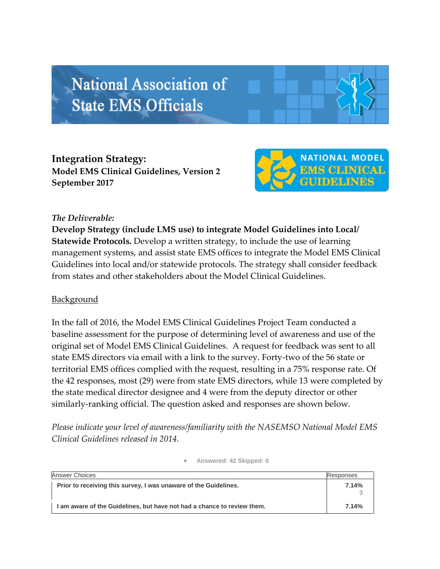# **National Association of State EMS Officials**

**Integration Strategy: Model EMS Clinical Guidelines, Version 2 September 2017**



# *The Deliverable:*

**Develop Strategy (include LMS use) to integrate Model Guidelines into Local/ Statewide Protocols.** Develop a written strategy, to include the use of learning management systems, and assist state EMS offices to integrate the Model EMS Clinical Guidelines into local and/or statewide protocols. The strategy shall consider feedback from states and other stakeholders about the Model Clinical Guidelines.

# **Background**

In the fall of 2016, the Model EMS Clinical Guidelines Project Team conducted a baseline assessment for the purpose of determining level of awareness and use of the original set of Model EMS Clinical Guidelines. A request for feedback was sent to all state EMS directors via email with a link to the survey. Forty-two of the 56 state or territorial EMS offices complied with the request, resulting in a 75% response rate. Of the 42 responses, most (29) were from state EMS directors, while 13 were completed by the state medical director designee and 4 were from the deputy director or other similarly-ranking official. The question asked and responses are shown below.

*Please indicate your level of awareness/familiarity with the NASEMSO National Model EMS Clinical Guidelines released in 2014.*

| <b>Answer Choices</b>                                                   | Responses |
|-------------------------------------------------------------------------|-----------|
| Prior to receiving this survey, I was unaware of the Guidelines.        | 7.14%     |
| I am aware of the Guidelines, but have not had a chance to review them. | 7.14%     |

#### **Answered: 42 Skipped: 0**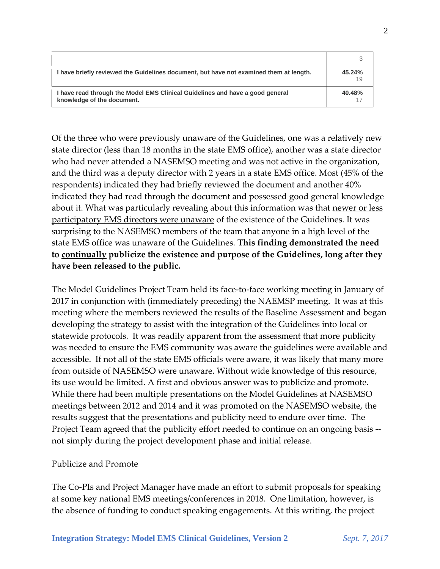| I have briefly reviewed the Guidelines document, but have not examined them at length.                      | 45.24%<br>19 |
|-------------------------------------------------------------------------------------------------------------|--------------|
| I have read through the Model EMS Clinical Guidelines and have a good general<br>knowledge of the document. | 40.48%       |

Of the three who were previously unaware of the Guidelines, one was a relatively new state director (less than 18 months in the state EMS office), another was a state director who had never attended a NASEMSO meeting and was not active in the organization, and the third was a deputy director with 2 years in a state EMS office. Most (45% of the respondents) indicated they had briefly reviewed the document and another 40% indicated they had read through the document and possessed good general knowledge about it. What was particularly revealing about this information was that newer or less participatory EMS directors were unaware of the existence of the Guidelines. It was surprising to the NASEMSO members of the team that anyone in a high level of the state EMS office was unaware of the Guidelines. **This finding demonstrated the need to continually publicize the existence and purpose of the Guidelines, long after they have been released to the public.**

The Model Guidelines Project Team held its face-to-face working meeting in January of 2017 in conjunction with (immediately preceding) the NAEMSP meeting. It was at this meeting where the members reviewed the results of the Baseline Assessment and began developing the strategy to assist with the integration of the Guidelines into local or statewide protocols. It was readily apparent from the assessment that more publicity was needed to ensure the EMS community was aware the guidelines were available and accessible. If not all of the state EMS officials were aware, it was likely that many more from outside of NASEMSO were unaware. Without wide knowledge of this resource, its use would be limited. A first and obvious answer was to publicize and promote. While there had been multiple presentations on the Model Guidelines at NASEMSO meetings between 2012 and 2014 and it was promoted on the NASEMSO website, the results suggest that the presentations and publicity need to endure over time. The Project Team agreed that the publicity effort needed to continue on an ongoing basis - not simply during the project development phase and initial release.

## Publicize and Promote

The Co-PIs and Project Manager have made an effort to submit proposals for speaking at some key national EMS meetings/conferences in 2018. One limitation, however, is the absence of funding to conduct speaking engagements. At this writing, the project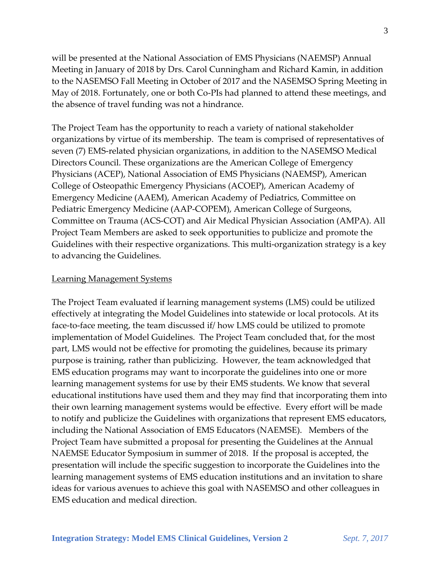will be presented at the National Association of EMS Physicians (NAEMSP) Annual Meeting in January of 2018 by Drs. Carol Cunningham and Richard Kamin, in addition to the NASEMSO Fall Meeting in October of 2017 and the NASEMSO Spring Meeting in May of 2018. Fortunately, one or both Co-PIs had planned to attend these meetings, and the absence of travel funding was not a hindrance.

The Project Team has the opportunity to reach a variety of national stakeholder organizations by virtue of its membership. The team is comprised of representatives of seven (7) EMS-related physician organizations, in addition to the NASEMSO Medical Directors Council. These organizations are the American College of Emergency Physicians (ACEP), National Association of EMS Physicians (NAEMSP), American College of Osteopathic Emergency Physicians (ACOEP), American Academy of Emergency Medicine (AAEM), American Academy of Pediatrics, Committee on Pediatric Emergency Medicine (AAP-COPEM), American College of Surgeons, Committee on Trauma (ACS-COT) and Air Medical Physician Association (AMPA). All Project Team Members are asked to seek opportunities to publicize and promote the Guidelines with their respective organizations. This multi-organization strategy is a key to advancing the Guidelines.

### Learning Management Systems

The Project Team evaluated if learning management systems (LMS) could be utilized effectively at integrating the Model Guidelines into statewide or local protocols. At its face-to-face meeting, the team discussed if/ how LMS could be utilized to promote implementation of Model Guidelines. The Project Team concluded that, for the most part, LMS would not be effective for promoting the guidelines, because its primary purpose is training, rather than publicizing. However, the team acknowledged that EMS education programs may want to incorporate the guidelines into one or more learning management systems for use by their EMS students. We know that several educational institutions have used them and they may find that incorporating them into their own learning management systems would be effective. Every effort will be made to notify and publicize the Guidelines with organizations that represent EMS educators, including the National Association of EMS Educators (NAEMSE). Members of the Project Team have submitted a proposal for presenting the Guidelines at the Annual NAEMSE Educator Symposium in summer of 2018. If the proposal is accepted, the presentation will include the specific suggestion to incorporate the Guidelines into the learning management systems of EMS education institutions and an invitation to share ideas for various avenues to achieve this goal with NASEMSO and other colleagues in EMS education and medical direction.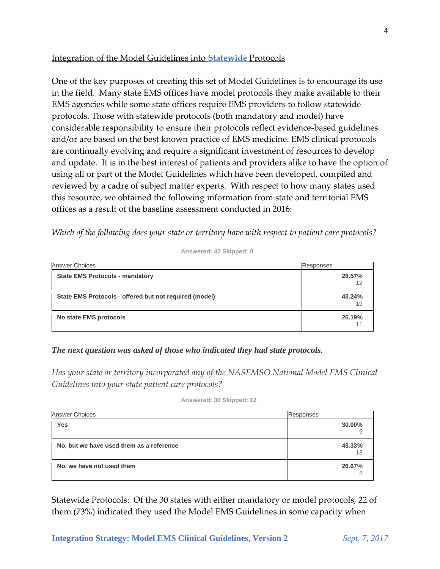# Integration of the Model Guidelines into **Statewide** Protocols

One of the key purposes of creating this set of Model Guidelines is to encourage its use in the field. Many state EMS offices have model protocols they make available to their EMS agencies while some state offices require EMS providers to follow statewide protocols. Those with statewide protocols (both mandatory and model) have considerable responsibility to ensure their protocols reflect evidence-based guidelines and/or are based on the best known practice of EMS medicine. EMS clinical protocols are continually evolving and require a significant investment of resources to develop and update. It is in the best interest of patients and providers alike to have the option of using all or part of the Model Guidelines which have been developed, compiled and reviewed by a cadre of subject matter experts. With respect to how many states used this resource, we obtained the following information from state and territorial EMS offices as a result of the baseline assessment conducted in 2016:

*Which of the following does your state or territory have with respect to patient care protocols?*

| <b>Answer Choices</b>                                  | Responses    |
|--------------------------------------------------------|--------------|
| <b>State EMS Protocols - mandatory</b>                 | 28.57%<br>12 |
| State EMS Protocols - offered but not required (model) | 43.24%<br>19 |
| No state EMS protocols                                 | 26.19%       |

**Answered: 42 Skipped: 0**

## *The next question was asked of those who indicated they had state protocols.*

*Has your state or territory incorporated any of the NASEMSO National Model EMS Clinical Guidelines into your state patient care protocols?* 

| Answered: 30 Skipped: 12 |  |  |  |
|--------------------------|--|--|--|
|--------------------------|--|--|--|

| <b>Answer Choices</b>                    | Responses    |
|------------------------------------------|--------------|
| <b>Yes</b>                               | 30.00%       |
| No, but we have used them as a reference | 43.33%<br>13 |
| No, we have not used them                | 26.67%       |

Statewide Protocols: Of the 30 states with either mandatory or model protocols, 22 of them (73%) indicated they used the Model EMS Guidelines in some capacity when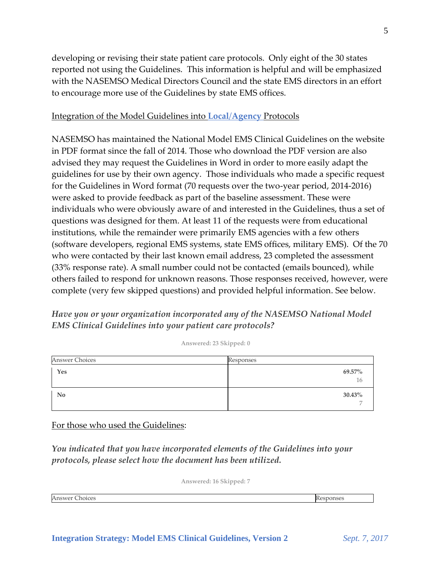developing or revising their state patient care protocols. Only eight of the 30 states reported not using the Guidelines. This information is helpful and will be emphasized with the NASEMSO Medical Directors Council and the state EMS directors in an effort to encourage more use of the Guidelines by state EMS offices.

## Integration of the Model Guidelines into **Local**/**Agency** Protocols

NASEMSO has maintained the National Model EMS Clinical Guidelines on the website in PDF format since the fall of 2014. Those who download the PDF version are also advised they may request the Guidelines in Word in order to more easily adapt the guidelines for use by their own agency. Those individuals who made a specific request for the Guidelines in Word format (70 requests over the two-year period, 2014-2016) were asked to provide feedback as part of the baseline assessment. These were individuals who were obviously aware of and interested in the Guidelines, thus a set of questions was designed for them. At least 11 of the requests were from educational institutions, while the remainder were primarily EMS agencies with a few others (software developers, regional EMS systems, state EMS offices, military EMS). Of the 70 who were contacted by their last known email address, 23 completed the assessment (33% response rate). A small number could not be contacted (emails bounced), while others failed to respond for unknown reasons. Those responses received, however, were complete (very few skipped questions) and provided helpful information. See below.

*Have you or your organization incorporated any of the NASEMSO National Model EMS Clinical Guidelines into your patient care protocols?*

**Answered: 23 Skipped: 0**

| Answer Choices | Responses    |
|----------------|--------------|
| Yes            | 69.57%<br>16 |
| No             | 30.43%       |

For those who used the Guidelines:

*You indicated that you have incorporated elements of the Guidelines into your protocols, please select how the document has been utilized.* 

**Answered: 16 Skipped: 7**

Answer Choices **Responses** Responses **Responses**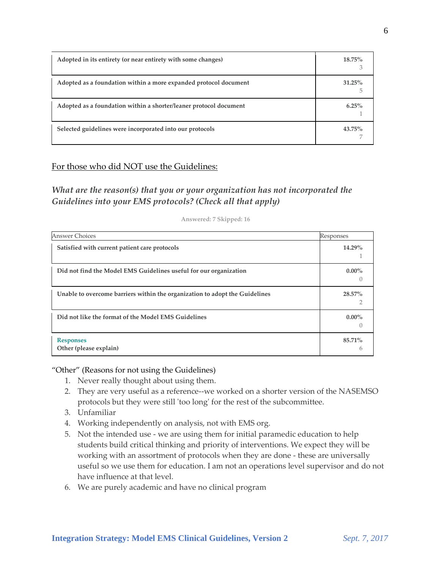| Adopted in its entirety (or near entirety with some changes)      | $18.75\%$      |
|-------------------------------------------------------------------|----------------|
| Adopted as a foundation within a more expanded protocol document  | $31.25\%$<br>h |
| Adopted as a foundation within a shorter/leaner protocol document | $6.25\%$       |
| Selected guidelines were incorporated into our protocols          | $43.75\%$      |

## For those who did NOT use the Guidelines:

*What are the reason(s) that you or your organization has not incorporated the Guidelines into your EMS protocols? (Check all that apply)*

**Answered: 7 Skipped: 16**

# Answer Choices **Responses** Responses and the contract of the contract of the contract of the contract of the contract of the contract of the contract of the contract of the contract of the contract of the contract of the c **Satisfied with current patient care protocols 14.29%** 1 **Did not find the Model EMS Guidelines useful for our organization 0.00%**  $\bigcap$ **Unable to overcome barriers within the organization to adopt the Guidelines 28.57%** 2 **Did not like the format of the Model EMS Guidelines 0.00%**  $\left($ **Responses Other (please explain) 85.71%** 6

"Other" (Reasons for not using the Guidelines)

- 1. Never really thought about using them.
- 2. They are very useful as a reference--we worked on a shorter version of the NASEMSO protocols but they were still 'too long' for the rest of the subcommittee.
- 3. Unfamiliar
- 4. Working independently on analysis, not with EMS org.
- 5. Not the intended use we are using them for initial paramedic education to help students build critical thinking and priority of interventions. We expect they will be working with an assortment of protocols when they are done - these are universally useful so we use them for education. I am not an operations level supervisor and do not have influence at that level.
- 6. We are purely academic and have no clinical program